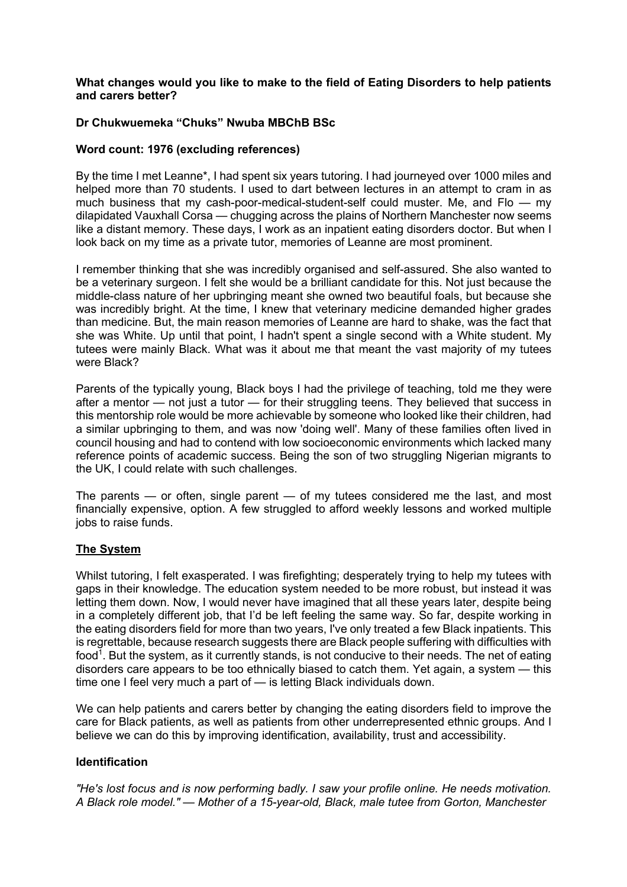#### **What changes would you like to make to the field of Eating Disorders to help patients and carers better?**

## **Dr Chukwuemeka "Chuks" Nwuba MBChB BSc**

#### **Word count: 1976 (excluding references)**

By the time I met Leanne\*, I had spent six years tutoring. I had journeyed over 1000 miles and helped more than 70 students. I used to dart between lectures in an attempt to cram in as much business that my cash-poor-medical-student-self could muster. Me, and Flo — my dilapidated Vauxhall Corsa — chugging across the plains of Northern Manchester now seems like a distant memory. These days, I work as an inpatient eating disorders doctor. But when I look back on my time as a private tutor, memories of Leanne are most prominent.

I remember thinking that she was incredibly organised and self-assured. She also wanted to be a veterinary surgeon. I felt she would be a brilliant candidate for this. Not just because the middle-class nature of her upbringing meant she owned two beautiful foals, but because she was incredibly bright. At the time, I knew that veterinary medicine demanded higher grades than medicine. But, the main reason memories of Leanne are hard to shake, was the fact that she was White. Up until that point, I hadn't spent a single second with a White student. My tutees were mainly Black. What was it about me that meant the vast majority of my tutees were Black?

Parents of the typically young, Black boys I had the privilege of teaching, told me they were after a mentor — not just a tutor — for their struggling teens. They believed that success in this mentorship role would be more achievable by someone who looked like their children, had a similar upbringing to them, and was now 'doing well'. Many of these families often lived in council housing and had to contend with low socioeconomic environments which lacked many reference points of academic success. Being the son of two struggling Nigerian migrants to the UK, I could relate with such challenges.

The parents — or often, single parent — of my tutees considered me the last, and most financially expensive, option. A few struggled to afford weekly lessons and worked multiple jobs to raise funds.

### **The System**

Whilst tutoring, I felt exasperated. I was firefighting; desperately trying to help my tutees with gaps in their knowledge. The education system needed to be more robust, but instead it was letting them down. Now, I would never have imagined that all these years later, despite being in a completely different job, that I'd be left feeling the same way. So far, despite working in the eating disorders field for more than two years, I've only treated a few Black inpatients. This is regrettable, because research suggests there are Black people suffering with difficulties with food<sup>1</sup>. But the system, as it currently stands, is not conducive to their needs. The net of eating disorders care appears to be too ethnically biased to catch them. Yet again, a system — this time one I feel very much a part of — is letting Black individuals down.

We can help patients and carers better by changing the eating disorders field to improve the care for Black patients, as well as patients from other underrepresented ethnic groups. And I believe we can do this by improving identification, availability, trust and accessibility.

#### **Identification**

*"He's lost focus and is now performing badly. I saw your profile online. He needs motivation. A Black role model." — Mother of a 15-year-old, Black, male tutee from Gorton, Manchester*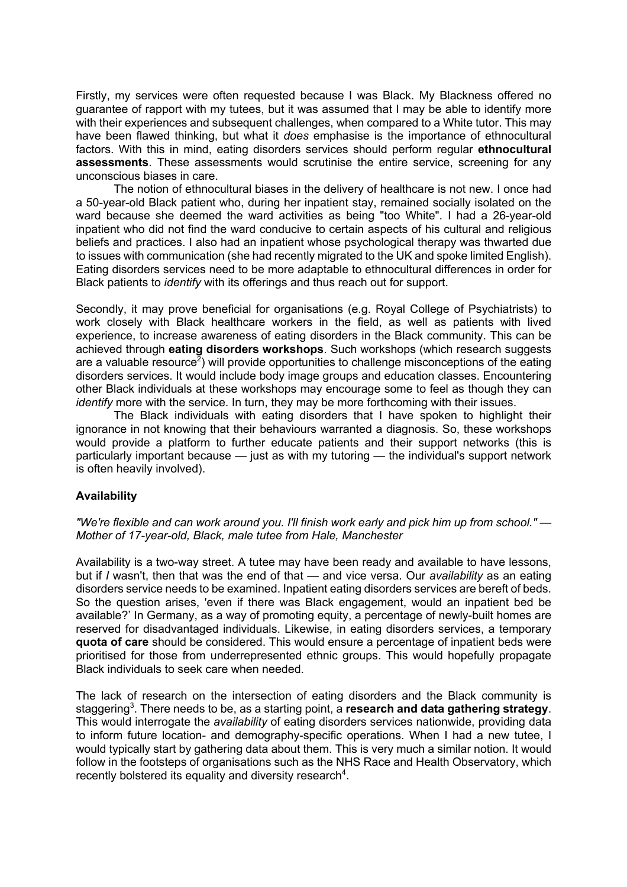Firstly, my services were often requested because I was Black. My Blackness offered no guarantee of rapport with my tutees, but it was assumed that I may be able to identify more with their experiences and subsequent challenges, when compared to a White tutor. This may have been flawed thinking, but what it *does* emphasise is the importance of ethnocultural factors. With this in mind, eating disorders services should perform regular **ethnocultural assessments**. These assessments would scrutinise the entire service, screening for any unconscious biases in care.

The notion of ethnocultural biases in the delivery of healthcare is not new. I once had a 50-year-old Black patient who, during her inpatient stay, remained socially isolated on the ward because she deemed the ward activities as being "too White". I had a 26-year-old inpatient who did not find the ward conducive to certain aspects of his cultural and religious beliefs and practices. I also had an inpatient whose psychological therapy was thwarted due to issues with communication (she had recently migrated to the UK and spoke limited English). Eating disorders services need to be more adaptable to ethnocultural differences in order for Black patients to *identify* with its offerings and thus reach out for support.

Secondly, it may prove beneficial for organisations (e.g. Royal College of Psychiatrists) to work closely with Black healthcare workers in the field, as well as patients with lived experience, to increase awareness of eating disorders in the Black community. This can be achieved through **eating disorders workshops**. Such workshops (which research suggests are a valuable resource<sup>2</sup>) will provide opportunities to challenge misconceptions of the eating disorders services. It would include body image groups and education classes. Encountering other Black individuals at these workshops may encourage some to feel as though they can *identify* more with the service. In turn, they may be more forthcoming with their issues.

The Black individuals with eating disorders that I have spoken to highlight their ignorance in not knowing that their behaviours warranted a diagnosis. So, these workshops would provide a platform to further educate patients and their support networks (this is particularly important because — just as with my tutoring — the individual's support network is often heavily involved).

### **Availability**

*"We're flexible and can work around you. I'll finish work early and pick him up from school." — Mother of 17-year-old, Black, male tutee from Hale, Manchester*

Availability is a two-way street. A tutee may have been ready and available to have lessons, but if *I* wasn't, then that was the end of that — and vice versa. Our *availability* as an eating disorders service needs to be examined. Inpatient eating disorders services are bereft of beds. So the question arises, 'even if there was Black engagement, would an inpatient bed be available?' In Germany, as a way of promoting equity, a percentage of newly-built homes are reserved for disadvantaged individuals. Likewise, in eating disorders services, a temporary **quota of care** should be considered. This would ensure a percentage of inpatient beds were prioritised for those from underrepresented ethnic groups. This would hopefully propagate Black individuals to seek care when needed.

The lack of research on the intersection of eating disorders and the Black community is staggering<sup>3</sup>. There needs to be, as a starting point, a **research and data gathering strategy**. This would interrogate the *availability* of eating disorders services nationwide, providing data to inform future location- and demography-specific operations. When I had a new tutee, I would typically start by gathering data about them. This is very much a similar notion. It would follow in the footsteps of organisations such as the NHS Race and Health Observatory, which recently bolstered its equality and diversity research<sup>4</sup>.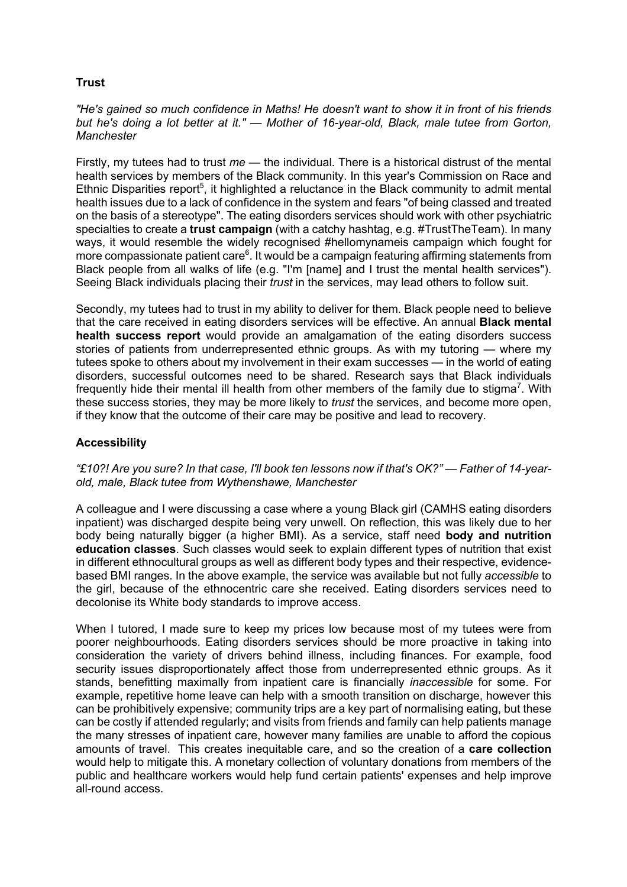# **Trust**

*"He's gained so much confidence in Maths! He doesn't want to show it in front of his friends but he's doing a lot better at it." — Mother of 16-year-old, Black, male tutee from Gorton, Manchester*

Firstly, my tutees had to trust *me* — the individual. There is a historical distrust of the mental health services by members of the Black community. In this year's Commission on Race and Ethnic Disparities report<sup>5</sup>, it highlighted a reluctance in the Black community to admit mental health issues due to a lack of confidence in the system and fears "of being classed and treated on the basis of a stereotype". The eating disorders services should work with other psychiatric specialties to create a **trust campaign** (with a catchy hashtag, e.g. #TrustTheTeam). In many ways, it would resemble the widely recognised #hellomynameis campaign which fought for more compassionate patient care<sup>6</sup>. It would be a campaign featuring affirming statements from Black people from all walks of life (e.g. "I'm [name] and I trust the mental health services"). Seeing Black individuals placing their *trust* in the services, may lead others to follow suit.

Secondly, my tutees had to trust in my ability to deliver for them. Black people need to believe that the care received in eating disorders services will be effective. An annual **Black mental health success report** would provide an amalgamation of the eating disorders success stories of patients from underrepresented ethnic groups. As with my tutoring — where my tutees spoke to others about my involvement in their exam successes — in the world of eating disorders, successful outcomes need to be shared. Research says that Black individuals frequently hide their mental ill health from other members of the family due to stigma<sup>7</sup>. With these success stories, they may be more likely to *trust* the services, and become more open, if they know that the outcome of their care may be positive and lead to recovery.

## **Accessibility**

*"£10?! Are you sure? In that case, I'll book ten lessons now if that's OK?" — Father of 14-yearold, male, Black tutee from Wythenshawe, Manchester*

A colleague and I were discussing a case where a young Black girl (CAMHS eating disorders inpatient) was discharged despite being very unwell. On reflection, this was likely due to her body being naturally bigger (a higher BMI). As a service, staff need **body and nutrition education classes**. Such classes would seek to explain different types of nutrition that exist in different ethnocultural groups as well as different body types and their respective, evidencebased BMI ranges. In the above example, the service was available but not fully *accessible* to the girl, because of the ethnocentric care she received. Eating disorders services need to decolonise its White body standards to improve access.

When I tutored. I made sure to keep my prices low because most of my tutees were from poorer neighbourhoods. Eating disorders services should be more proactive in taking into consideration the variety of drivers behind illness, including finances. For example, food security issues disproportionately affect those from underrepresented ethnic groups. As it stands, benefitting maximally from inpatient care is financially *inaccessible* for some. For example, repetitive home leave can help with a smooth transition on discharge, however this can be prohibitively expensive; community trips are a key part of normalising eating, but these can be costly if attended regularly; and visits from friends and family can help patients manage the many stresses of inpatient care, however many families are unable to afford the copious amounts of travel. This creates inequitable care, and so the creation of a **care collection** would help to mitigate this. A monetary collection of voluntary donations from members of the public and healthcare workers would help fund certain patients' expenses and help improve all-round access.